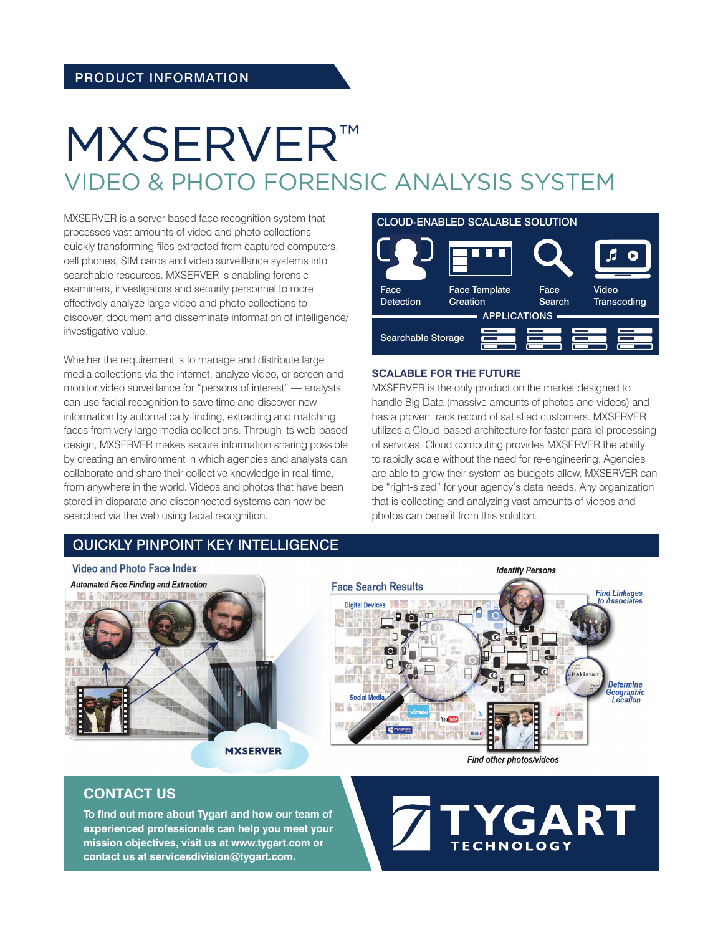# MXSERVER™ VIDEO & PHOTO FORENSIC ANALYSIS SYSTEM

MXSERVER is a server-based face recognition system that processes vast amounts of video and photo collections quickly transforming files extracted from captured computers, cell phones, SIM cards and video surveillance systems into searchable resources. MXSERVER is enabling forensic examiners, investigators and security personnel to more effectively analyze large video and photo collections to discover, document and disseminate information of intelligence/ investigative value.

Whether the requirement is to manage and distribute large media collections via the internet, analyze video, or screen and monitor video surveillance for "persons of interest" — analysts can use facial recognition to save time and discover new information by automatically finding, extracting and matching faces from very large media collections. Through its web-based design, MXSERVER makes secure information sharing possible by creating an environment in which agencies and analysts can collaborate and share their collective knowledge in real-time, from anywhere in the world. Videos and photos that have been stored in disparate and disconnected systems can now be searched via the web using facial recognition.

## QUICKLY PINPOINT KEY INTELLIGENCE

### CLOUD-ENABLED SCALABLE SOLUTION



#### **SCALABLE FOR THE FUTURE**

MXSERVER is the only product on the market designed to handle Big Data (massive amounts of photos and videos) and has a proven track record of satisfied customers. MXSERVER utilizes a Cloud-based architecture for faster parallel processing of services. Cloud computing provides MXSERVER the ability to rapidly scale without the need for re-engineering. Agencies are able to grow their system as budgets allow. MXSERVER can be "right-sized" for your agency's data needs. Any organization that is collecting and analyzing vast amounts of videos and photos can benefit from this solution.



## **CONTACT US**

**To find out more about Tygart and how our team of experienced professionals can help you meet your mission objectives, visit us at www.tygart.com or contact us at servicesdivision@tygart.com.**

GART